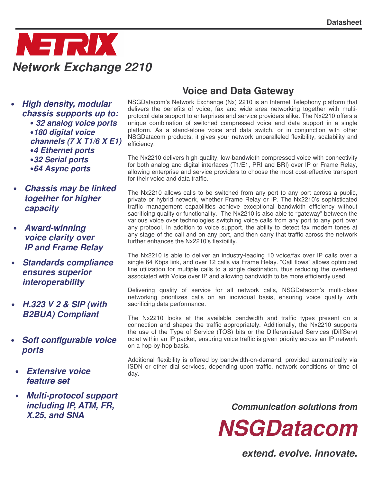

• *High density, modular chassis supports up to:* • *32 analog voice ports* •*180 digital voice channels (7 X T1/6 X E1)* •*4 Ethernet ports* •*32 Serial ports* •*64 Async ports*

- *Chassis may be linked together for higher capacity*
- *Award-winning voice clarity over IP and Frame Relay*
- *Standards compliance ensures superior interoperability*
- *H.323 V 2 & SIP (with B2BUA) Compliant*
- *Soft configurable voice ports*
- *Extensive voice feature set*
- *Multi-protocol support including IP, ATM, FR, X.25, and SNA*

## **Voice and Data Gateway**

NSGDatacom's Network Exchange (Nx) 2210 is an Internet Telephony platform that delivers the benefits of voice, fax and wide area networking together with multiprotocol data support to enterprises and service providers alike. The Nx2210 offers a unique combination of switched compressed voice and data support in a single platform. As a stand-alone voice and data switch, or in conjunction with other NSGDatacom products, it gives your network unparalleled flexibility, scalability and efficiency.

The Nx2210 delivers high-quality, low-bandwidth compressed voice with connectivity for both analog and digital interfaces (T1/E1, PRI and BRI) over IP or Frame Relay, allowing enterprise and service providers to choose the most cost-effective transport for their voice and data traffic.

The Nx2210 allows calls to be switched from any port to any port across a public, private or hybrid network, whether Frame Relay or IP. The Nx2210's sophisticated traffic management capabilities achieve exceptional bandwidth efficiency without sacrificing quality or functionality. The Nx2210 is also able to "gateway" between the various voice over technologies switching voice calls from any port to any port over any protocol. In addition to voice support, the ability to detect fax modem tones at any stage of the call and on any port, and then carry that traffic across the network further enhances the Nx2210's flexibility.

The Nx2210 is able to deliver an industry-leading 10 voice/fax over IP calls over a single 64 Kbps link, and over 12 calls via Frame Relay. "Call flows" allows optimized line utilization for multiple calls to a single destination, thus reducing the overhead associated with Voice over IP and allowing bandwidth to be more efficiently used.

Delivering quality of service for all network calls, NSGDatacom's multi-class networking prioritizes calls on an individual basis, ensuring voice quality with sacrificing data performance.

The Nx2210 looks at the available bandwidth and traffic types present on a connection and shapes the traffic appropriately. Additionally, the Nx2210 supports the use of the Type of Service (TOS) bits or the Differentiated Services (DiffServ) octet within an IP packet, ensuring voice traffic is given priority across an IP network on a hop-by-hop basis.

Additional flexibility is offered by bandwidth-on-demand, provided automatically via ISDN or other dial services, depending upon traffic, network conditions or time of day.

*Communication solutions from*



*extend. evolve. innovate.*